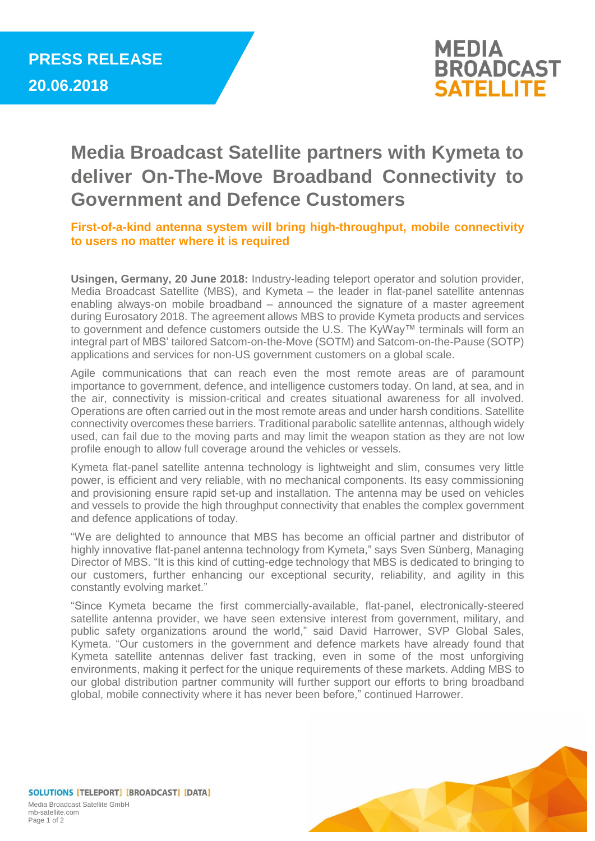

## **Media Broadcast Satellite partners with Kymeta to deliver On-The-Move Broadband Connectivity to Government and Defence Customers**

**First-of-a-kind antenna system will bring high-throughput, mobile connectivity to users no matter where it is required**

**Usingen, Germany, 20 June 2018:** Industry-leading teleport operator and solution provider, Media Broadcast Satellite (MBS), and Kymeta – the leader in flat-panel satellite antennas enabling always-on mobile broadband – announced the signature of a master agreement during Eurosatory 2018. The agreement allows MBS to provide Kymeta products and services to government and defence customers outside the U.S. The KyWay™ terminals will form an integral part of MBS' tailored Satcom-on-the-Move (SOTM) and Satcom-on-the-Pause (SOTP) applications and services for non-US government customers on a global scale.

Agile communications that can reach even the most remote areas are of paramount importance to government, defence, and intelligence customers today. On land, at sea, and in the air, connectivity is mission-critical and creates situational awareness for all involved. Operations are often carried out in the most remote areas and under harsh conditions. Satellite connectivity overcomes these barriers. Traditional parabolic satellite antennas, although widely used, can fail due to the moving parts and may limit the weapon station as they are not low profile enough to allow full coverage around the vehicles or vessels.

Kymeta flat-panel satellite antenna technology is lightweight and slim, consumes very little power, is efficient and very reliable, with no mechanical components. Its easy commissioning and provisioning ensure rapid set-up and installation. The antenna may be used on vehicles and vessels to provide the high throughput connectivity that enables the complex government and defence applications of today.

"We are delighted to announce that MBS has become an official partner and distributor of highly innovative flat-panel antenna technology from Kymeta," says Sven Sünberg, Managing Director of MBS. "It is this kind of cutting-edge technology that MBS is dedicated to bringing to our customers, further enhancing our exceptional security, reliability, and agility in this constantly evolving market."

"Since Kymeta became the first commercially-available, flat-panel, electronically-steered satellite antenna provider, we have seen extensive interest from government, military, and public safety organizations around the world," said David Harrower, SVP Global Sales, Kymeta. "Our customers in the government and defence markets have already found that Kymeta satellite antennas deliver fast tracking, even in some of the most unforgiving environments, making it perfect for the unique requirements of these markets. Adding MBS to our global distribution partner community will further support our efforts to bring broadband global, mobile connectivity where it has never been before," continued Harrower.



SOLUTIONS [TELEPORT] [BROADCAST] [DATA] Media Broadcast Satellite GmbH mb-satellite.com Page 1 of 2